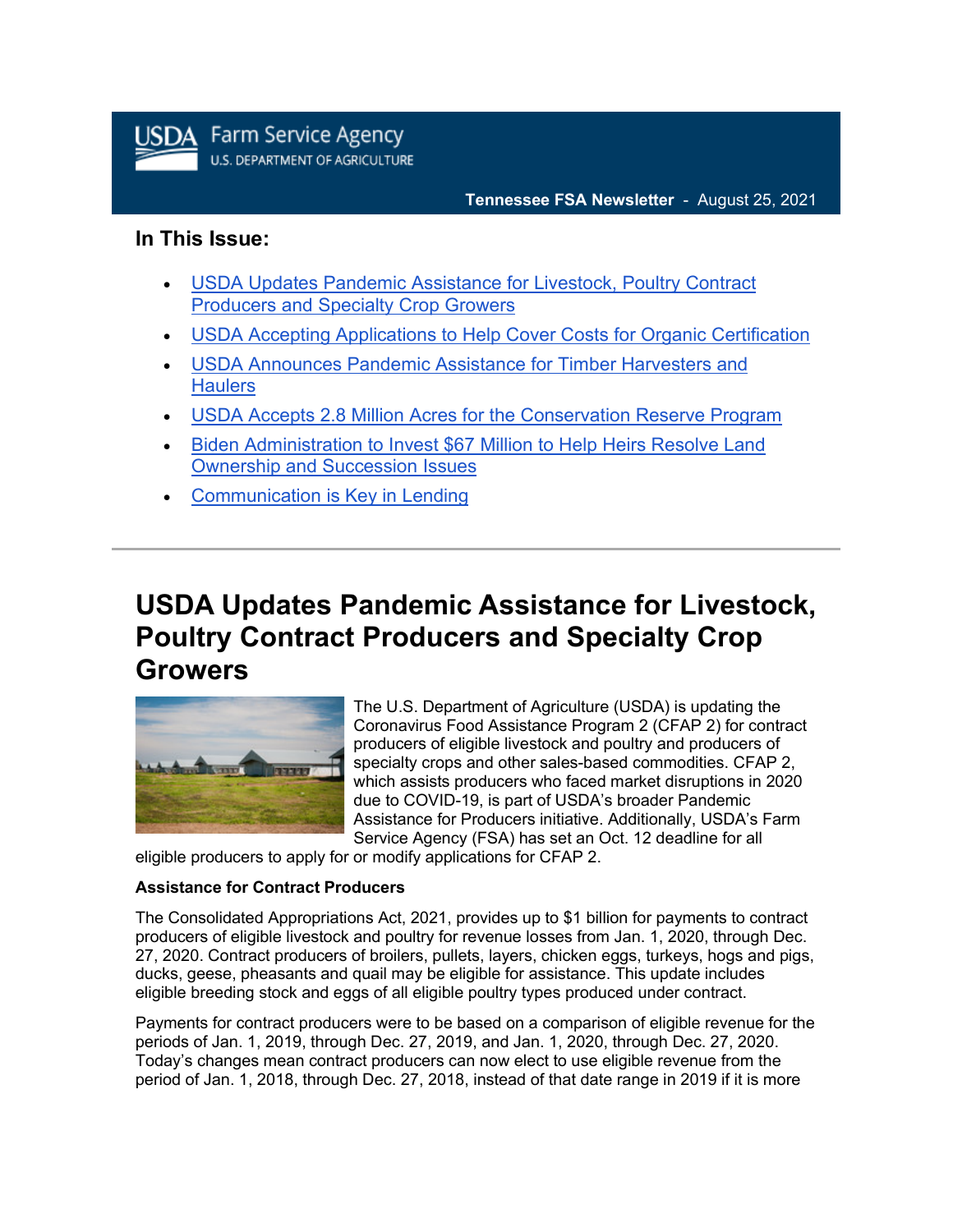

# **In This Issue:**

- [USDA Updates Pandemic Assistance for Livestock, Poultry Contract](https://admin.govdelivery.com/accounts/USDAFARMERS/bulletins?sortdesc=bulletinsort-sent_at&state=sent#link_6)  [Producers and Specialty Crop Growers](https://admin.govdelivery.com/accounts/USDAFARMERS/bulletins?sortdesc=bulletinsort-sent_at&state=sent#link_6)
- [USDA Accepting Applications to Help Cover Costs for Organic Certification](https://admin.govdelivery.com/accounts/USDAFARMERS/bulletins?sortdesc=bulletinsort-sent_at&state=sent#link_4)
- [USDA Announces Pandemic Assistance for Timber Harvesters and](https://admin.govdelivery.com/accounts/USDAFARMERS/bulletins?sortdesc=bulletinsort-sent_at&state=sent#link_1)  **[Haulers](https://admin.govdelivery.com/accounts/USDAFARMERS/bulletins?sortdesc=bulletinsort-sent_at&state=sent#link_1)**
- [USDA Accepts 2.8 Million Acres for the Conservation Reserve Program](https://admin.govdelivery.com/accounts/USDAFARMERS/bulletins?sortdesc=bulletinsort-sent_at&state=sent#link_2)
- [Biden Administration to Invest \\$67 Million to Help Heirs Resolve Land](https://admin.govdelivery.com/accounts/USDAFARMERS/bulletins?sortdesc=bulletinsort-sent_at&state=sent#link_5)  [Ownership and Succession Issues](https://admin.govdelivery.com/accounts/USDAFARMERS/bulletins?sortdesc=bulletinsort-sent_at&state=sent#link_5)
- [Communication is Key in Lending](https://admin.govdelivery.com/accounts/USDAFARMERS/bulletins?sortdesc=bulletinsort-sent_at&state=sent#link_3)

# **USDA Updates Pandemic Assistance for Livestock, Poultry Contract Producers and Specialty Crop Growers**



The U.S. Department of Agriculture (USDA) is updating the Coronavirus Food Assistance Program 2 (CFAP 2) for contract producers of eligible livestock and poultry and producers of specialty crops and other sales-based commodities. CFAP 2, which assists producers who faced market disruptions in 2020 due to COVID-19, is part of USDA's broader Pandemic Assistance for Producers initiative. Additionally, USDA's Farm Service Agency (FSA) has set an Oct. 12 deadline for all

eligible producers to apply for or modify applications for CFAP 2.

### **Assistance for Contract Producers**

The Consolidated Appropriations Act, 2021, provides up to \$1 billion for payments to contract producers of eligible livestock and poultry for revenue losses from Jan. 1, 2020, through Dec. 27, 2020. Contract producers of broilers, pullets, layers, chicken eggs, turkeys, hogs and pigs, ducks, geese, pheasants and quail may be eligible for assistance. This update includes eligible breeding stock and eggs of all eligible poultry types produced under contract.

Payments for contract producers were to be based on a comparison of eligible revenue for the periods of Jan. 1, 2019, through Dec. 27, 2019, and Jan. 1, 2020, through Dec. 27, 2020. Today's changes mean contract producers can now elect to use eligible revenue from the period of Jan. 1, 2018, through Dec. 27, 2018, instead of that date range in 2019 if it is more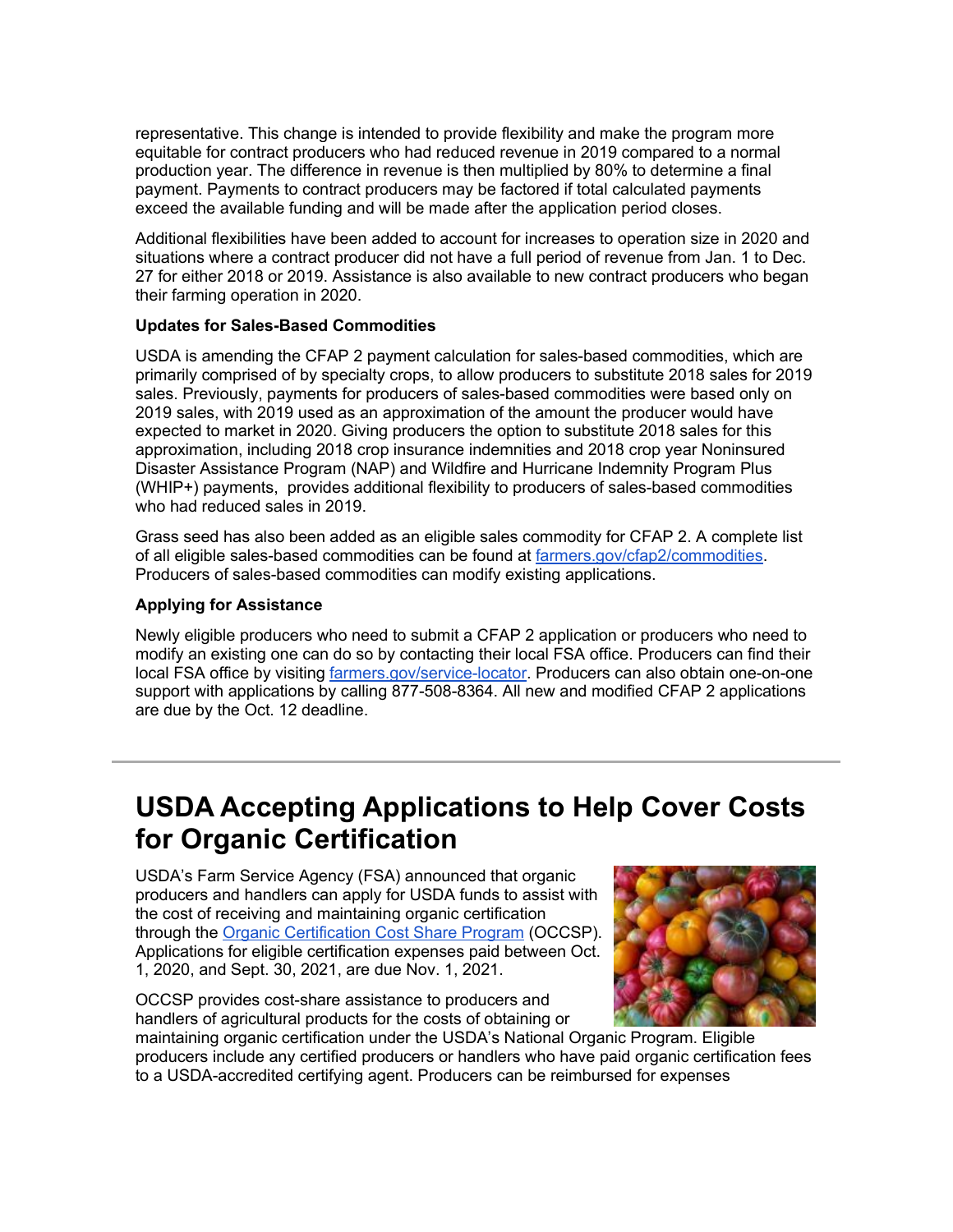representative. This change is intended to provide flexibility and make the program more equitable for contract producers who had reduced revenue in 2019 compared to a normal production year. The difference in revenue is then multiplied by 80% to determine a final payment. Payments to contract producers may be factored if total calculated payments exceed the available funding and will be made after the application period closes.

Additional flexibilities have been added to account for increases to operation size in 2020 and situations where a contract producer did not have a full period of revenue from Jan. 1 to Dec. 27 for either 2018 or 2019. Assistance is also available to new contract producers who began their farming operation in 2020.

### **Updates for Sales-Based Commodities**

USDA is amending the CFAP 2 payment calculation for sales-based commodities, which are primarily comprised of by specialty crops, to allow producers to substitute 2018 sales for 2019 sales. Previously, payments for producers of sales-based commodities were based only on 2019 sales, with 2019 used as an approximation of the amount the producer would have expected to market in 2020. Giving producers the option to substitute 2018 sales for this approximation, including 2018 crop insurance indemnities and 2018 crop year Noninsured Disaster Assistance Program (NAP) and Wildfire and Hurricane Indemnity Program Plus (WHIP+) payments, provides additional flexibility to producers of sales-based commodities who had reduced sales in 2019.

Grass seed has also been added as an eligible sales commodity for CFAP 2. A complete list of all eligible sales-based commodities can be found at [farmers.gov/cfap2/commodities.](http://www.farmers.gov/cfap2/commodities?utm_medium=email&utm_source=govdelivery) Producers of sales-based commodities can modify existing applications.

# **Applying for Assistance**

Newly eligible producers who need to submit a CFAP 2 application or producers who need to modify an existing one can do so by contacting their local FSA office. Producers can find their local FSA office by visiting [farmers.gov/service-locator.](http://www.farmers.gov/service-locator?utm_medium=email&utm_source=govdelivery) Producers can also obtain one-on-one support with applications by calling 877-508-8364. All new and modified CFAP 2 applications are due by the Oct. 12 deadline.

# **USDA Accepting Applications to Help Cover Costs for Organic Certification**

USDA's Farm Service Agency (FSA) announced that organic producers and handlers can apply for USDA funds to assist with the cost of receiving and maintaining organic certification through the [Organic Certification Cost Share Program](https://www.fsa.usda.gov/programs-and-services/occsp/index?utm_medium=email&utm_source=govdelivery) (OCCSP). Applications for eligible certification expenses paid between Oct. 1, 2020, and Sept. 30, 2021, are due Nov. 1, 2021.

OCCSP provides cost-share assistance to producers and handlers of agricultural products for the costs of obtaining or



maintaining organic certification under the USDA's National Organic Program. Eligible producers include any certified producers or handlers who have paid organic certification fees to a USDA-accredited certifying agent. Producers can be reimbursed for expenses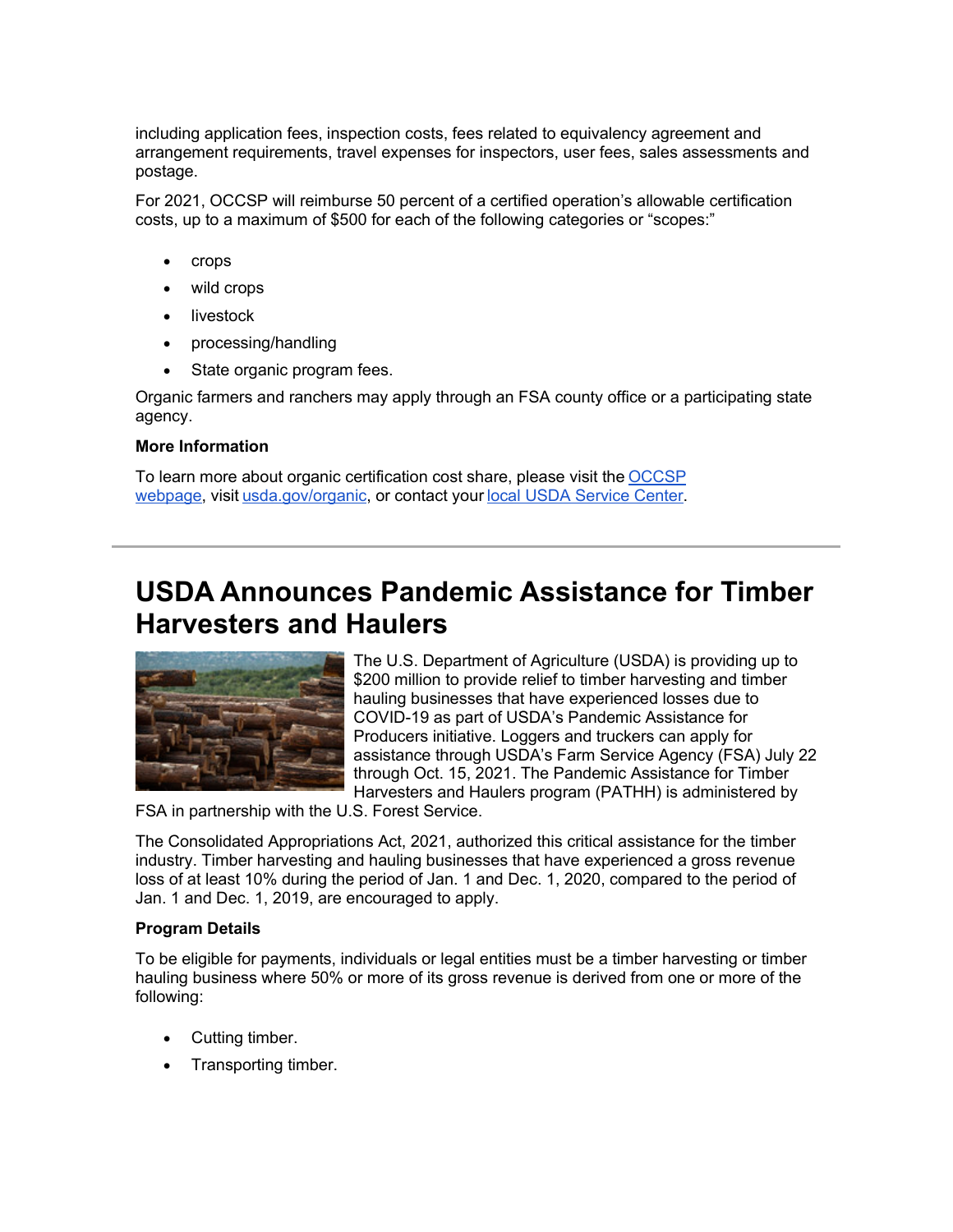including application fees, inspection costs, fees related to equivalency agreement and arrangement requirements, travel expenses for inspectors, user fees, sales assessments and postage.

For 2021, OCCSP will reimburse 50 percent of a certified operation's allowable certification costs, up to a maximum of \$500 for each of the following categories or "scopes:"

- crops
- wild crops
- **livestock**
- processing/handling
- State organic program fees.

Organic farmers and ranchers may apply through an FSA county office or a participating state agency.

# **More Information**

To learn more about organic certification cost share, please visit the [OCCSP](https://gcc02.safelinks.protection.outlook.com/?data=04%7C01%7C%7Cb5d6f41a717e4ee8119408d95688e80e%7Ced5b36e701ee4ebc867ee03cfa0d4697%7C0%7C0%7C637635968572287832%7CUnknown%7CTWFpbGZsb3d8eyJWIjoiMC4wLjAwMDAiLCJQIjoiV2luMzIiLCJBTiI6Ik1haWwiLCJXVCI6Mn0%3D%7C1000&reserved=0&sdata=cgLaWVgjShzAKP23%2FaThYszdg3Bok64KlxCPutb%2FLhc%3D&url=https%3A%2F%2Fwww.fsa.usda.gov%2Fprograms-and-services%2Foccsp%2Findex%3Futm_medium%3Demail%26utm_source%3Dgovdelivery&utm_medium=email&utm_source=govdelivery)  [webpage,](https://gcc02.safelinks.protection.outlook.com/?data=04%7C01%7C%7Cb5d6f41a717e4ee8119408d95688e80e%7Ced5b36e701ee4ebc867ee03cfa0d4697%7C0%7C0%7C637635968572287832%7CUnknown%7CTWFpbGZsb3d8eyJWIjoiMC4wLjAwMDAiLCJQIjoiV2luMzIiLCJBTiI6Ik1haWwiLCJXVCI6Mn0%3D%7C1000&reserved=0&sdata=cgLaWVgjShzAKP23%2FaThYszdg3Bok64KlxCPutb%2FLhc%3D&url=https%3A%2F%2Fwww.fsa.usda.gov%2Fprograms-and-services%2Foccsp%2Findex%3Futm_medium%3Demail%26utm_source%3Dgovdelivery&utm_medium=email&utm_source=govdelivery) visit [usda.gov/organic,](https://www.usda.gov/topics/organic?utm_medium=email&utm_source=govdelivery) or contact your [local USDA Service Center.](https://www.farmers.gov/service-center-locator?utm_medium=email&utm_source=govdelivery)

# **USDA Announces Pandemic Assistance for Timber Harvesters and Haulers**



The U.S. Department of Agriculture (USDA) is providing up to \$200 million to provide relief to timber harvesting and timber hauling businesses that have experienced losses due to COVID-19 as part of USDA's Pandemic Assistance for Producers initiative. Loggers and truckers can apply for assistance through USDA's Farm Service Agency (FSA) July 22 through Oct. 15, 2021. The Pandemic Assistance for Timber Harvesters and Haulers program (PATHH) is administered by

FSA in partnership with the U.S. Forest Service.

The Consolidated Appropriations Act, 2021, authorized this critical assistance for the timber industry. Timber harvesting and hauling businesses that have experienced a gross revenue loss of at least 10% during the period of Jan. 1 and Dec. 1, 2020, compared to the period of Jan. 1 and Dec. 1, 2019, are encouraged to apply.

### **Program Details**

To be eligible for payments, individuals or legal entities must be a timber harvesting or timber hauling business where 50% or more of its gross revenue is derived from one or more of the following:

- Cutting timber.
- Transporting timber.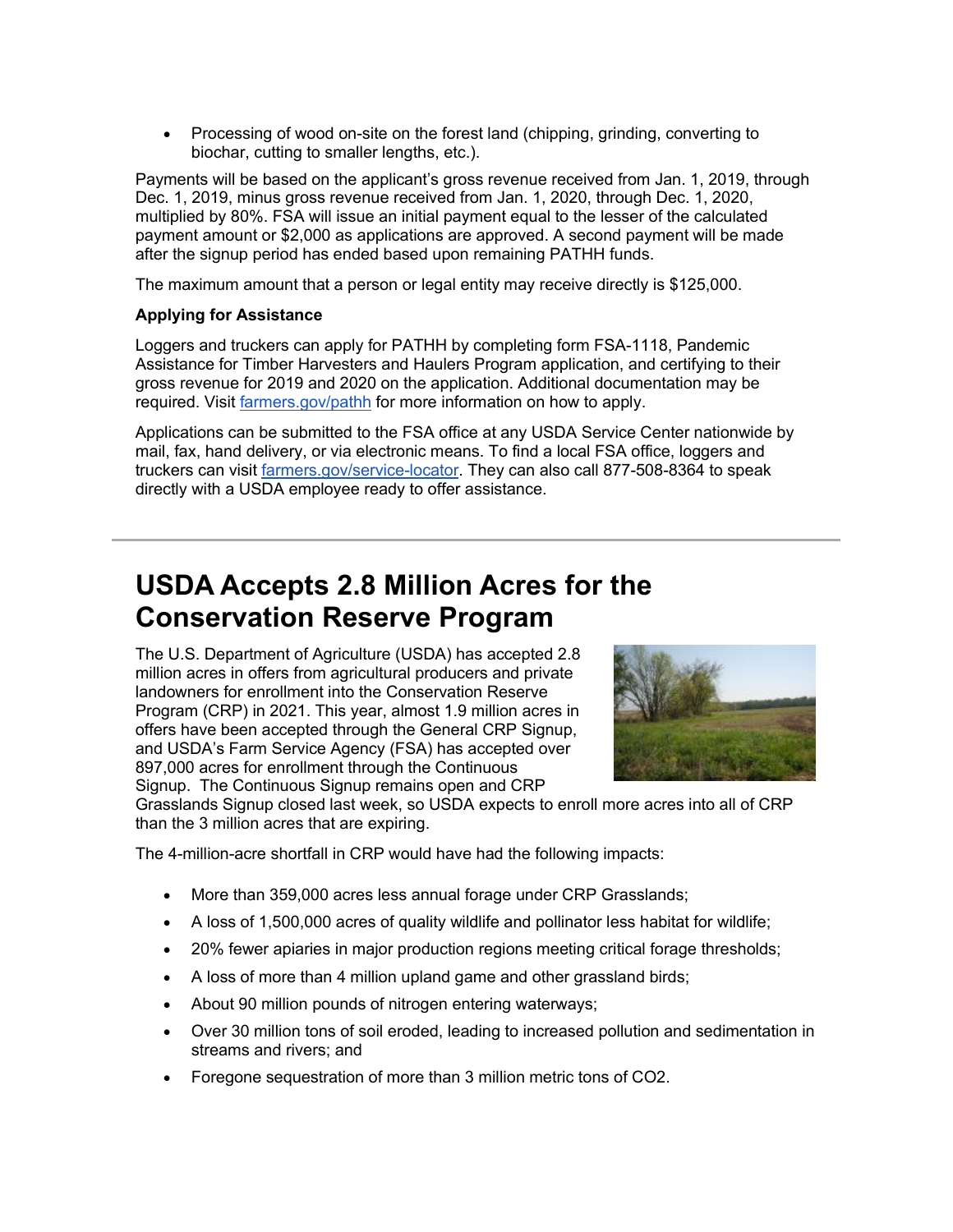• Processing of wood on-site on the forest land (chipping, grinding, converting to biochar, cutting to smaller lengths, etc.).

Payments will be based on the applicant's gross revenue received from Jan. 1, 2019, through Dec. 1, 2019, minus gross revenue received from Jan. 1, 2020, through Dec. 1, 2020, multiplied by 80%. FSA will issue an initial payment equal to the lesser of the calculated payment amount or \$2,000 as applications are approved. A second payment will be made after the signup period has ended based upon remaining PATHH funds.

The maximum amount that a person or legal entity may receive directly is \$125,000.

### **Applying for Assistance**

Loggers and truckers can apply for PATHH by completing form FSA-1118, Pandemic Assistance for Timber Harvesters and Haulers Program application, and certifying to their gross revenue for 2019 and 2020 on the application. Additional documentation may be required. Visit [farmers.gov/pathh](http://www.farmers.gov/pathh?utm_medium=email&utm_source=govdelivery) for more information on how to apply.

Applications can be submitted to the FSA office at any USDA Service Center nationwide by mail, fax, hand delivery, or via electronic means. To find a local FSA office, loggers and truckers can visit [farmers.gov/service-locator.](http://www.farmers.gov/service-locator?utm_medium=email&utm_source=govdelivery) They can also call 877-508-8364 to speak directly with a USDA employee ready to offer assistance.

# **USDA Accepts 2.8 Million Acres for the Conservation Reserve Program**

The U.S. Department of Agriculture (USDA) has accepted 2.8 million acres in offers from agricultural producers and private landowners for enrollment into the Conservation Reserve Program (CRP) in 2021. This year, almost 1.9 million acres in offers have been accepted through the General CRP Signup, and USDA's Farm Service Agency (FSA) has accepted over 897,000 acres for enrollment through the Continuous Signup. The Continuous Signup remains open and CRP



Grasslands Signup closed last week, so USDA expects to enroll more acres into all of CRP than the 3 million acres that are expiring.

The 4-million-acre shortfall in CRP would have had the following impacts:

- More than 359,000 acres less annual forage under CRP Grasslands;
- A loss of 1,500,000 acres of quality wildlife and pollinator less habitat for wildlife;
- 20% fewer apiaries in major production regions meeting critical forage thresholds;
- A loss of more than 4 million upland game and other grassland birds;
- About 90 million pounds of nitrogen entering waterways;
- Over 30 million tons of soil eroded, leading to increased pollution and sedimentation in streams and rivers; and
- Foregone sequestration of more than 3 million metric tons of CO2.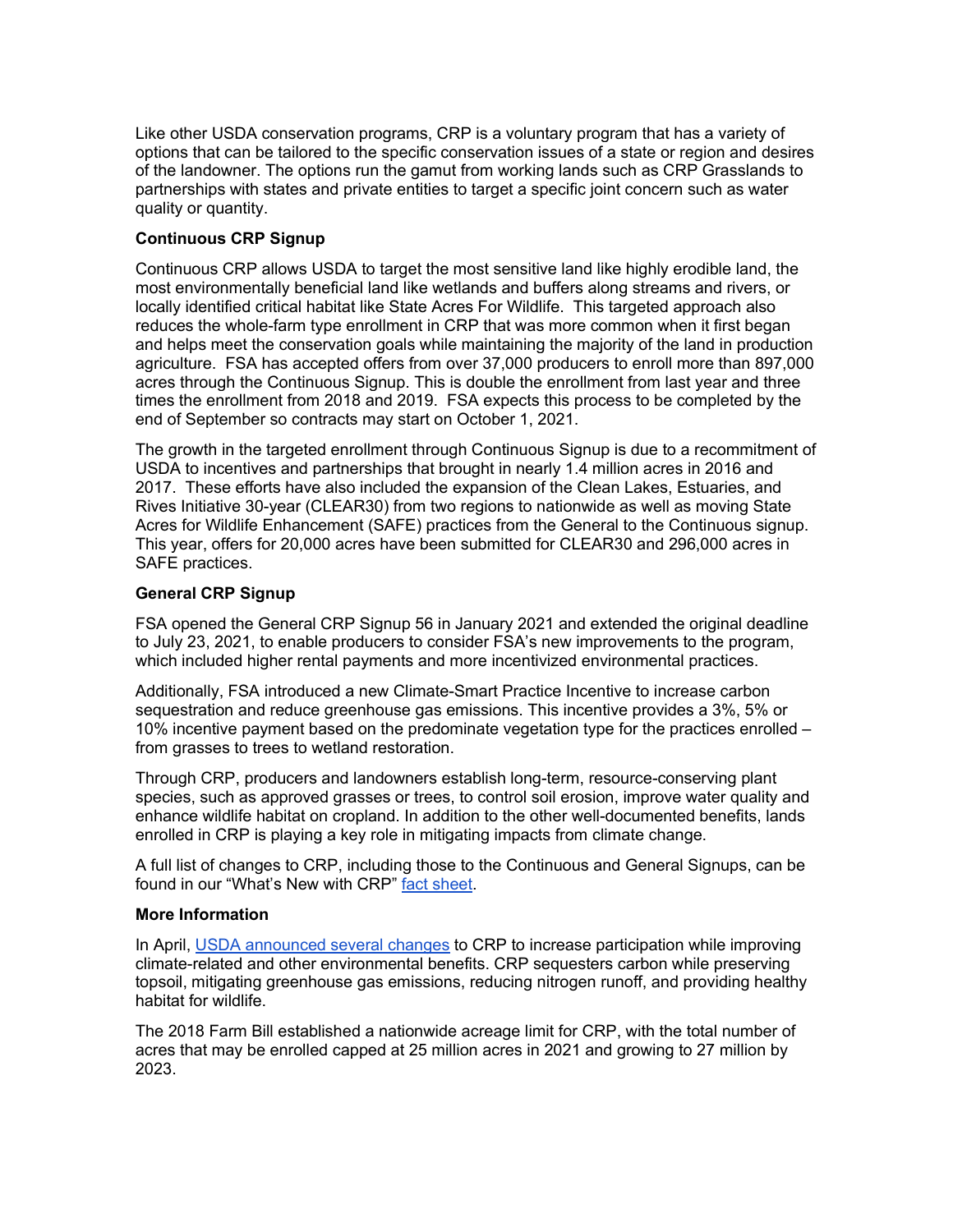Like other USDA conservation programs, CRP is a voluntary program that has a variety of options that can be tailored to the specific conservation issues of a state or region and desires of the landowner. The options run the gamut from working lands such as CRP Grasslands to partnerships with states and private entities to target a specific joint concern such as water quality or quantity.

# **Continuous CRP Signup**

Continuous CRP allows USDA to target the most sensitive land like highly erodible land, the most environmentally beneficial land like wetlands and buffers along streams and rivers, or locally identified critical habitat like State Acres For Wildlife. This targeted approach also reduces the whole-farm type enrollment in CRP that was more common when it first began and helps meet the conservation goals while maintaining the majority of the land in production agriculture. FSA has accepted offers from over 37,000 producers to enroll more than 897,000 acres through the Continuous Signup. This is double the enrollment from last year and three times the enrollment from 2018 and 2019. FSA expects this process to be completed by the end of September so contracts may start on October 1, 2021.

The growth in the targeted enrollment through Continuous Signup is due to a recommitment of USDA to incentives and partnerships that brought in nearly 1.4 million acres in 2016 and 2017. These efforts have also included the expansion of the Clean Lakes, Estuaries, and Rives Initiative 30-year (CLEAR30) from two regions to nationwide as well as moving State Acres for Wildlife Enhancement (SAFE) practices from the General to the Continuous signup. This year, offers for 20,000 acres have been submitted for CLEAR30 and 296,000 acres in SAFE practices.

### **General CRP Signup**

FSA opened the General CRP Signup 56 in January 2021 and extended the original deadline to July 23, 2021, to enable producers to consider FSA's new improvements to the program, which included higher rental payments and more incentivized environmental practices.

Additionally, FSA introduced a new Climate-Smart Practice Incentive to increase carbon sequestration and reduce greenhouse gas emissions. This incentive provides a 3%, 5% or 10% incentive payment based on the predominate vegetation type for the practices enrolled – from grasses to trees to wetland restoration.

Through CRP, producers and landowners establish long-term, resource-conserving plant species, such as approved grasses or trees, to control soil erosion, improve water quality and enhance wildlife habitat on cropland. In addition to the other well-documented benefits, lands enrolled in CRP is playing a key role in mitigating impacts from climate change.

A full list of changes to CRP, including those to the Continuous and General Signups, can be found in our "What's New with CRP" [fact sheet.](https://gcc02.safelinks.protection.outlook.com/?data=04%7C01%7C%7C1a142a87a26042d1f0a108d9641e3c2b%7Ced5b36e701ee4ebc867ee03cfa0d4697%7C0%7C0%7C637650903347107747%7CUnknown%7CTWFpbGZsb3d8eyJWIjoiMC4wLjAwMDAiLCJQIjoiV2luMzIiLCJBTiI6Ik1haWwiLCJXVCI6Mn0%3D%7C1000&reserved=0&sdata=ncG6MGCzs2ui8j9FZGCYiTgb4%2Bg12hfylV%2BZXSgvQd4%3D&url=https%3A%2F%2Fwww.fsa.usda.gov%2FAssets%2FUSDA-FSA-Public%2Fusdafiles%2FFactSheets%2Fcrp-whats-new-fact-sheet.pdf%3Futm_medium%3Demail%26utm_source%3Dgovdelivery&utm_medium=email&utm_source=govdelivery)

### **More Information**

In April, [USDA announced several changes](https://www.fsa.usda.gov/news-room/news-releases/2021/usda-expands-and-renews-conservation-reserve-program-in-effort-to-boost-enrollment-and-address-climate-change?utm_medium=email&utm_source=govdelivery) to CRP to increase participation while improving climate-related and other environmental benefits. CRP sequesters carbon while preserving topsoil, mitigating greenhouse gas emissions, reducing nitrogen runoff, and providing healthy habitat for wildlife.

The 2018 Farm Bill established a nationwide acreage limit for CRP, with the total number of acres that may be enrolled capped at 25 million acres in 2021 and growing to 27 million by 2023.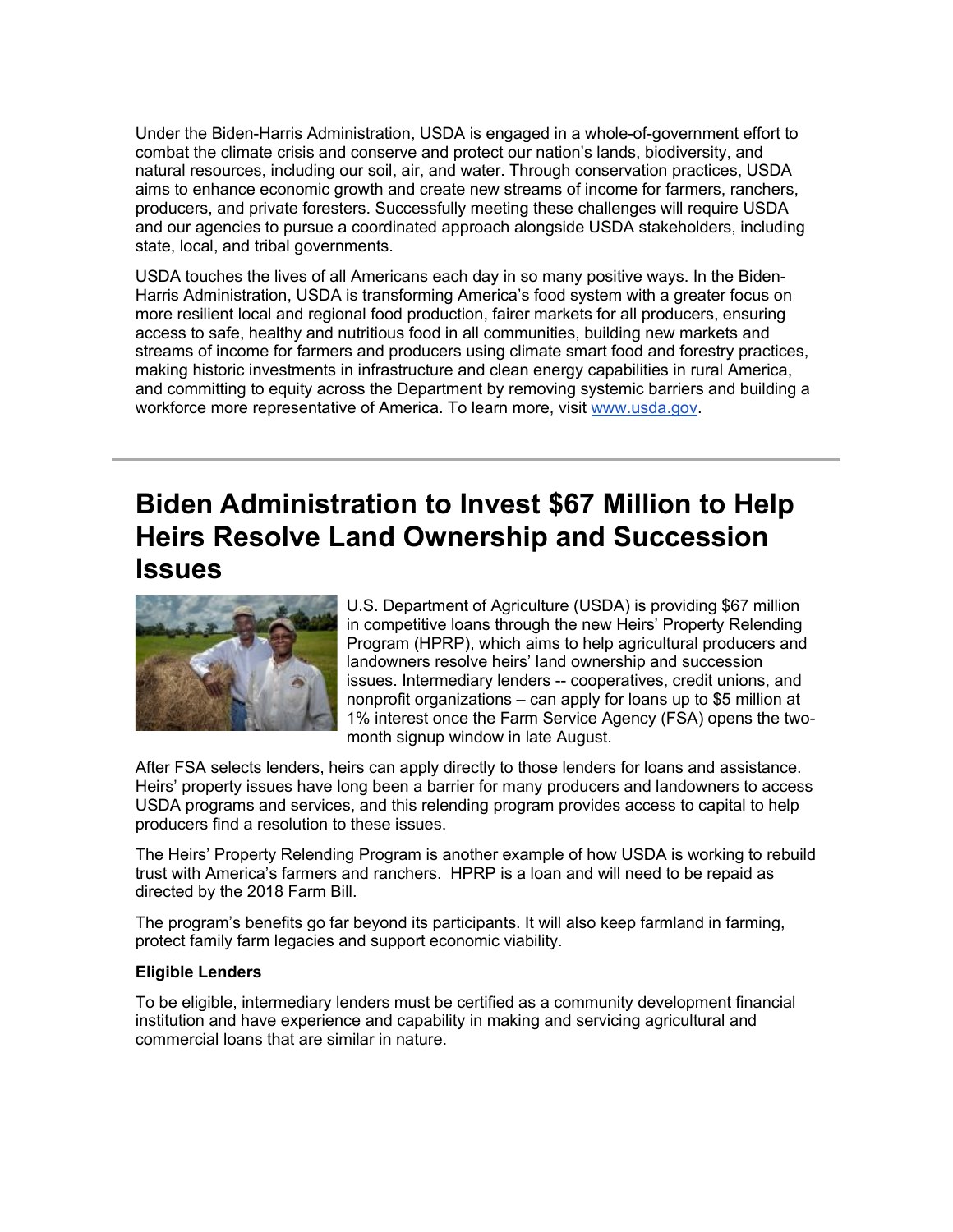Under the Biden-Harris Administration, USDA is engaged in a whole-of-government effort to combat the climate crisis and conserve and protect our nation's lands, biodiversity, and natural resources, including our soil, air, and water. Through conservation practices, USDA aims to enhance economic growth and create new streams of income for farmers, ranchers, producers, and private foresters. Successfully meeting these challenges will require USDA and our agencies to pursue a coordinated approach alongside USDA stakeholders, including state, local, and tribal governments.

USDA touches the lives of all Americans each day in so many positive ways. In the Biden-Harris Administration, USDA is transforming America's food system with a greater focus on more resilient local and regional food production, fairer markets for all producers, ensuring access to safe, healthy and nutritious food in all communities, building new markets and streams of income for farmers and producers using climate smart food and forestry practices, making historic investments in infrastructure and clean energy capabilities in rural America, and committing to equity across the Department by removing systemic barriers and building a workforce more representative of America. To learn more, visit [www.usda.gov.](https://www.usda.gov/?utm_medium=email&utm_source=govdelivery)

# **Biden Administration to Invest \$67 Million to Help Heirs Resolve Land Ownership and Succession Issues**



U.S. Department of Agriculture (USDA) is providing \$67 million in competitive loans through the new Heirs' Property Relending Program (HPRP), which aims to help agricultural producers and landowners resolve heirs' land ownership and succession issues. Intermediary lenders -- cooperatives, credit unions, and nonprofit organizations – can apply for loans up to \$5 million at 1% interest once the Farm Service Agency (FSA) opens the twomonth signup window in late August.

After FSA selects lenders, heirs can apply directly to those lenders for loans and assistance. Heirs' property issues have long been a barrier for many producers and landowners to access USDA programs and services, and this relending program provides access to capital to help producers find a resolution to these issues.

The Heirs' Property Relending Program is another example of how USDA is working to rebuild trust with America's farmers and ranchers. HPRP is a loan and will need to be repaid as directed by the 2018 Farm Bill.

The program's benefits go far beyond its participants. It will also keep farmland in farming, protect family farm legacies and support economic viability.

### **Eligible Lenders**

To be eligible, intermediary lenders must be certified as a community development financial institution and have experience and capability in making and servicing agricultural and commercial loans that are similar in nature.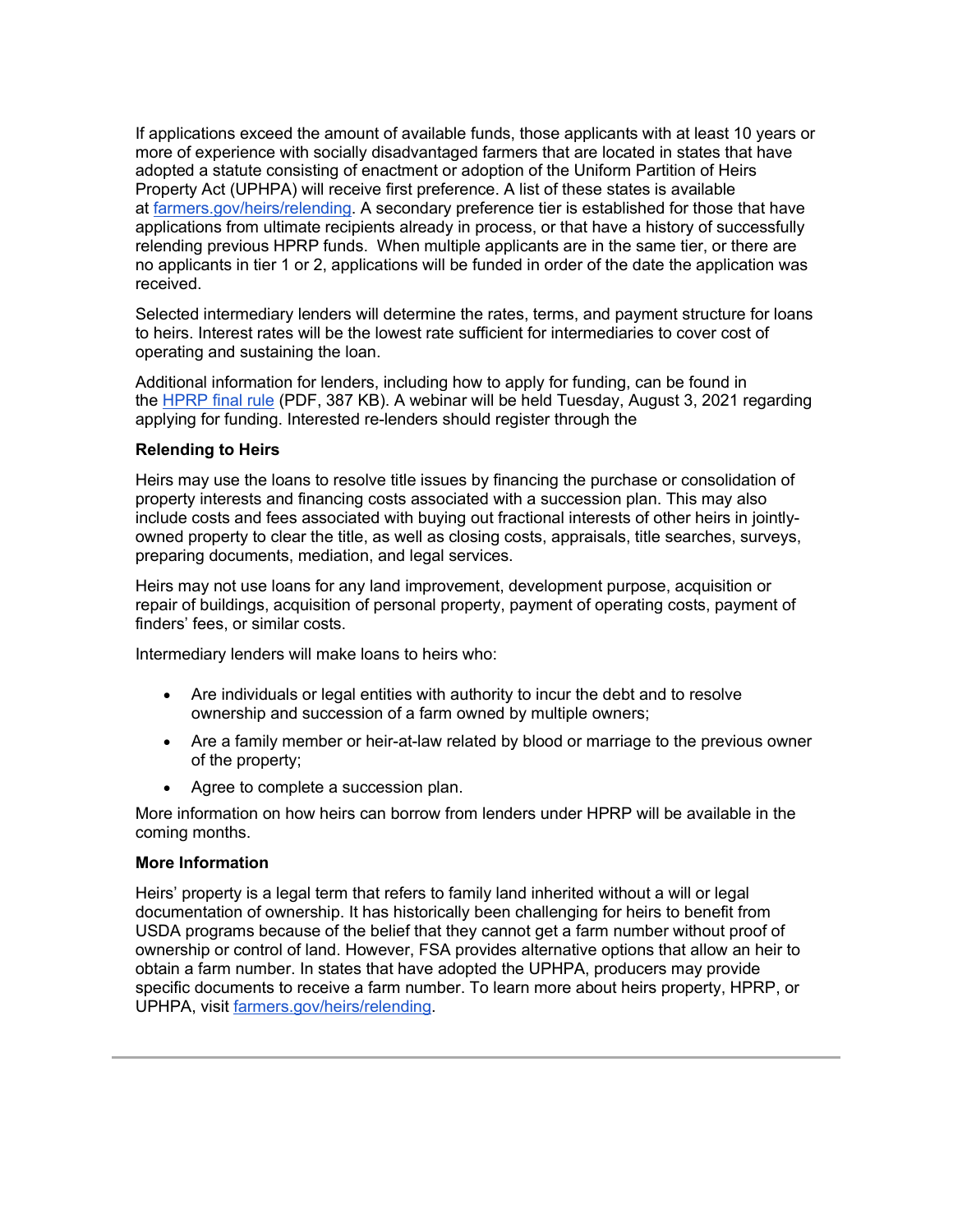If applications exceed the amount of available funds, those applicants with at least 10 years or more of experience with socially disadvantaged farmers that are located in states that have adopted a statute consisting of enactment or adoption of the Uniform Partition of Heirs Property Act (UPHPA) will receive first preference. A list of these states is available at [farmers.gov/heirs/relending.](http://www.farmers.gov/heirs/relending?utm_medium=email&utm_source=govdelivery) A secondary preference tier is established for those that have applications from ultimate recipients already in process, or that have a history of successfully relending previous HPRP funds. When multiple applicants are in the same tier, or there are no applicants in tier 1 or 2, applications will be funded in order of the date the application was received.

Selected intermediary lenders will determine the rates, terms, and payment structure for loans to heirs. Interest rates will be the lowest rate sufficient for intermediaries to cover cost of operating and sustaining the loan.

Additional information for lenders, including how to apply for funding, can be found in the [HPRP final rule](https://www.fsa.usda.gov/Assets/USDA-FSA-Public/usdafiles/Farm-Loan-Programs/pdfs/Heirs%20prop%20FRM%20plus%20direct%20loan%20changes%207%2022%202021.pdf?utm_medium=email&utm_source=govdelivery) (PDF, 387 KB). A webinar will be held Tuesday, August 3, 2021 regarding applying for funding. Interested re-lenders should register through the

#### **Relending to Heirs**

Heirs may use the loans to resolve title issues by financing the purchase or consolidation of property interests and financing costs associated with a succession plan. This may also include costs and fees associated with buying out fractional interests of other heirs in jointlyowned property to clear the title, as well as closing costs, appraisals, title searches, surveys, preparing documents, mediation, and legal services.

Heirs may not use loans for any land improvement, development purpose, acquisition or repair of buildings, acquisition of personal property, payment of operating costs, payment of finders' fees, or similar costs.

Intermediary lenders will make loans to heirs who:

- Are individuals or legal entities with authority to incur the debt and to resolve ownership and succession of a farm owned by multiple owners;
- Are a family member or heir-at-law related by blood or marriage to the previous owner of the property;
- Agree to complete a succession plan.

More information on how heirs can borrow from lenders under HPRP will be available in the coming months.

#### **More Information**

Heirs' property is a legal term that refers to family land inherited without a will or legal documentation of ownership. It has historically been challenging for heirs to benefit from USDA programs because of the belief that they cannot get a farm number without proof of ownership or control of land. However, FSA provides alternative options that allow an heir to obtain a farm number. In states that have adopted the UPHPA, producers may provide specific documents to receive a farm number. To learn more about heirs property, HPRP, or UPHPA, visit [farmers.gov/heirs/relending.](http://www.farmers.gov/heirs/relending?utm_medium=email&utm_source=govdelivery)